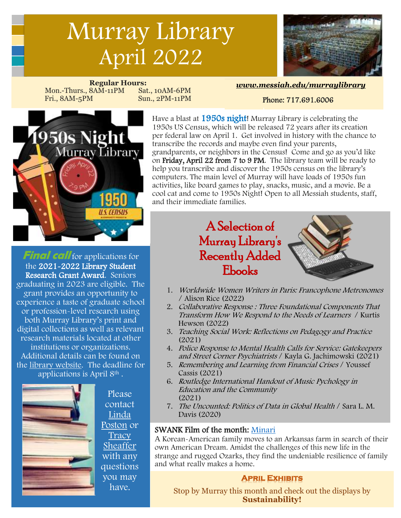# Murray Library April 2022



**Regular Hours:** Mon.-Thurs., 8AM-11PM Sat., 10AM-6PM Fri., 8AM-5PM Sun., 2PM-11PM

#### *[www.messiah.edu/murraylibrary](http://www.messiah.edu/murraylibrary)*

#### [Phone: 717.691.6006](http://www.messiah.edu/murraylibrary)



Have a blast at 1950s night! Murray Library is celebrating the 1950s US Census, which will be released 72 years after its creation per federal law on April 1. Get involved in history with the chance to transcribe the records and maybe even find your parents, grandparents, or neighbors in the Census! Come and go as you'd like on Friday, April 22 from 7 to 9 PM. The library team will be ready to help you transcribe and discover the 1950s census on the library's computers. The main level of Murray will have loads of 1950s fun activities, like board games to play, snacks, music, and a movie. Be a cool cat and come to 1950s Night! Open to all Messiah students, staff, and their immediate families.

**Final call** for applications for the 2021-2022 Library Student Research Grant Award. Seniors graduating in 2023 are eligible. The grant provides an opportunity to experience a taste of graduate school or profession-level research using both Murray Library's print and digital collections as well as relevant research materials located at other institutions or organizations. Additional details can be found on the [library website.](https://www.messiah.edu/homepage/4149/friends_of_murray_library_2020) The deadline for applications is April 8th .



Please contact [Linda](mailto:poston@messiah.edu)  [Poston](mailto:poston@messiah.edu) or [Tracy](mailto:tsheaffer@messiah.edu)  [Sheaffer](mailto:tsheaffer@messiah.edu)  with any questions you may have.

# A Selection of Murray Library's Recently Added Ebooks



- 1. Worldwide Women Writers in Paris: Francophone Metronomes / Alison Rice (2022)  $\frac{1}{2}$
- 2. Collaborative Response : Three Foundational Components That Transform How We Respond to the Needs of Learners / Kurtis Hewson (2022)  $\overline{\phantom{a}}$
- 3. Teaching Social Work: Reflections on Pedagogy and Practice (2021)
- 4. Police Response to Mental Health Calls for Service: Gatekeepers and Street Corner Psychiatrists / Kayla G. Jachimowski (2021)
- 5. Remembering and Learning from Financial Crises / Youssef Cassis (2021)
- 6. Routledge International Handout of Music Pychology in Education and the Community (2021)
- 7. The Uncounted: Politics of Data in Global Health / Sara L. M. Davis (2020)

#### SWANK Film of the month: [Minari](https://digitalcampus-swankmp-net.ezproxy.messiah.edu/messiah335541/watch/7478190435199D96?referrer=direct)

A Korean-American family moves to an Arkansas farm in search of their own American Dream. Amidst the challenges of this new life in the strange and rugged Ozarks, they find the undeniable resilience of family and what really makes a home.

#### **April Exhibits**

Stop by Murray this month and check out the displays by **Sustainability!**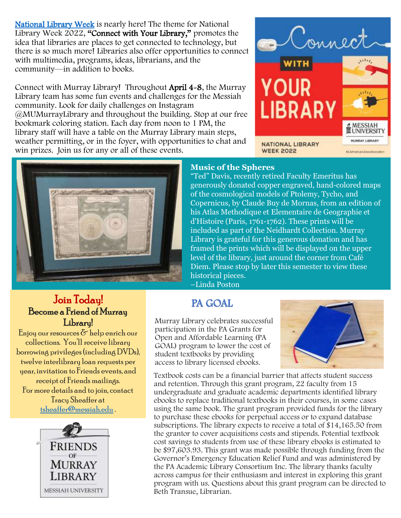[National Library Week](https://www.ala.org/conferencesevents/celebrationweeks/natlibraryweek) is nearly here! The theme for National Library Week 2022, "Connect with Your Library," promotes the idea that libraries are places to get connected to technology, but there is so much more! Libraries also offer opportunities to connect with multimedia, programs, ideas, librarians, and the community—in addition to books.

Connect with Murray Library! Throughout April 4-8, the Murray Library team has some fun events and challenges for the Messiah community. Look for daily challenges on Instagram @MUMurrayLibrary and throughout the building. Stop at our free bookmark coloring station. Each day from noon to 1 PM, the library staff will have a table on the Murray Library main steps, weather permitting, or in the foyer, with opportunities to chat and win prizes. Join us for any or all of these events.





#### **Music of the Spheres**

"Ted" Davis, recently retired Faculty Emeritus has generously donated copper engraved, hand-colored maps of the cosmological models of Ptolemy, Tycho, and Copernicus, by Claude Buy de Mornas, from an edition of his Atlas Methodique et Elementaire de Geographie et d'Histoire (Paris, 1761-1762). These prints will be included as part of the Neidhardt Collection. Murray Library is grateful for this generous donation and has framed the prints which will be displayed on the upper level of the library, just around the corner from Café Diem. Please stop by later this semester to view these historical pieces.

–Linda Poston

## PA GOAL

Murray Library celebrates successful participation in the PA Grants for Open and Affordable Learning (PA GOAL) program to lower the cost of student textbooks by providing access to library licensed ebooks.



Textbook costs can be a financial barrier that affects student success and retention. Through this grant program, 22 faculty from 15 undergraduate and graduate academic departments identified library ebooks to replace traditional textbooks in their courses, in some cases using the same book. The grant program provided funds for the library to purchase these ebooks for perpetual access or to expand database subscriptions. The library expects to receive a total of \$14,165.50 from the grantor to cover acquisitions costs and stipends. Potential textbook cost savings to students from use of these library ebooks is estimated to be \$97,603.93. This grant was made possible through funding from the Governor's Emergency Education Relief Fund and was administered by the PA Academic Library Consortium Inc. The library thanks faculty across campus for their enthusiasm and interest in exploring this grant program with us. Questions about this grant program can be directed to Beth Transue, Librarian.

### Join Today! Become a Friend of Murray Libraru!

Enjoy our resources  $\delta$  help enrich our collections. You'll receive library borrowing privileges (including DVDs), twelve interlibrary loan requests per year, invitation to Friends events, and receipt of Friends mailings. For more details and to join, contact Tracy Sheaffer at [tsheaffer@messiah.edu](mailto:tsheaffer@messiah.edu) .